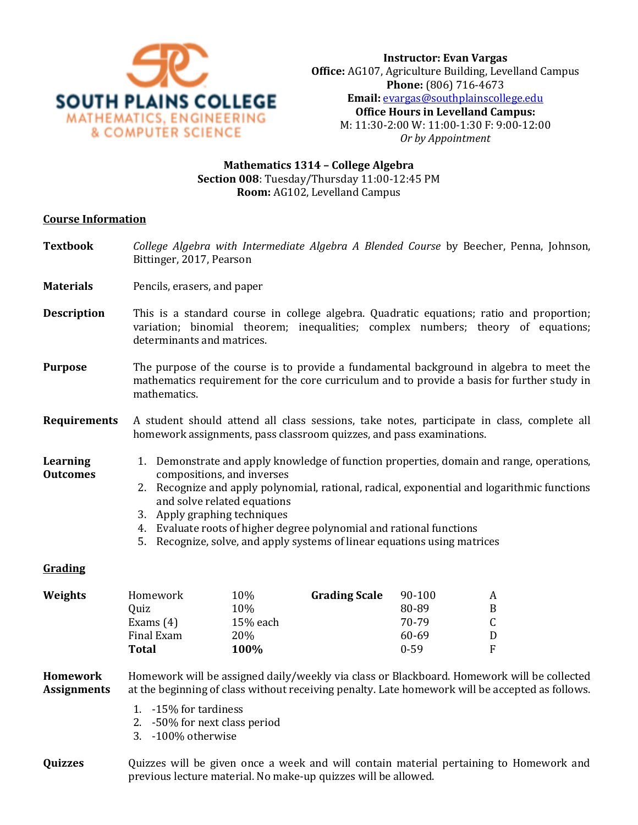

## **Mathematics 1314 – College Algebra Section 008**: Tuesday/Thursday 11:00-12:45 PM **Room:** AG102, Levelland Campus

### **Course Information**

- **Textbook** *College Algebra with Intermediate Algebra A Blended Course* by Beecher, Penna, Johnson, Bittinger, 2017, Pearson
- **Materials** Pencils, erasers, and paper
- **Description** This is a standard course in college algebra. Quadratic equations; ratio and proportion; variation; binomial theorem; inequalities; complex numbers; theory of equations; determinants and matrices.
- **Purpose** The purpose of the course is to provide a fundamental background in algebra to meet the mathematics requirement for the core curriculum and to provide a basis for further study in mathematics.
- **Requirements** A student should attend all class sessions, take notes, participate in class, complete all homework assignments, pass classroom quizzes, and pass examinations.
- **Learning Outcomes** 1. Demonstrate and apply knowledge of function properties, domain and range, operations, compositions, and inverses
	- 2. Recognize and apply polynomial, rational, radical, exponential and logarithmic functions and solve related equations
	- 3. Apply graphing techniques
	- 4. Evaluate roots of higher degree polynomial and rational functions
	- 5. Recognize, solve, and apply systems of linear equations using matrices

### **Grading**

| Weights | Homework    | 10%      | <b>Grading Scale</b> | 90-100   | A  |
|---------|-------------|----------|----------------------|----------|----|
|         | Ouiz        | 10%      |                      | 80-89    | B. |
|         | Exams $(4)$ | 15% each |                      | 70-79    |    |
|         | Final Exam  | 20%      |                      | 60-69    | D  |
|         | Total       | 100%     |                      | $0 - 59$ | F. |

#### **Homework Assignments** Homework will be assigned daily/weekly via class or Blackboard. Homework will be collected at the beginning of class without receiving penalty. Late homework will be accepted as follows.

- 1. -15% for tardiness
- 2. -50% for next class period
- 3. -100% otherwise
- **Quizzes Quizzes will be given once a week and will contain material pertaining to Homework and** previous lecture material. No make-up quizzes will be allowed.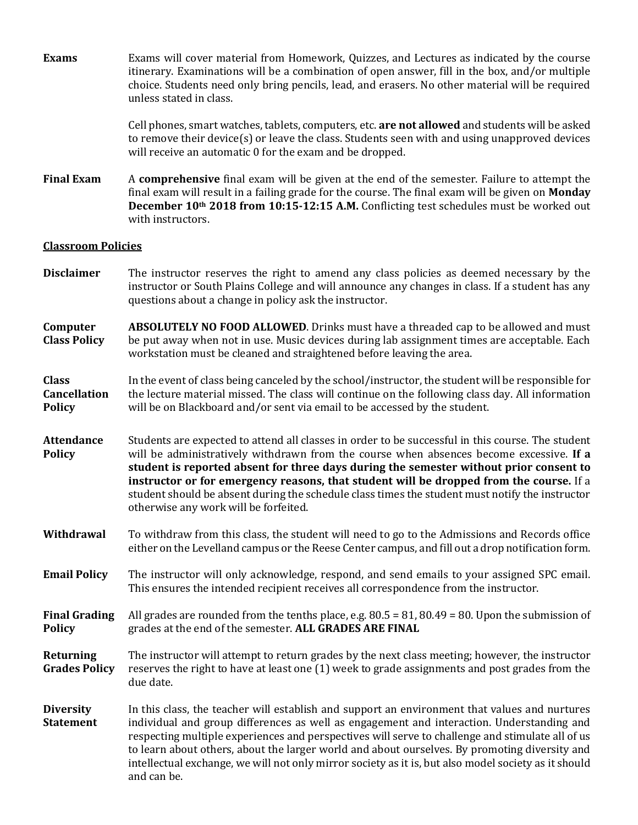**Exams** Exams will cover material from Homework, Quizzes, and Lectures as indicated by the course itinerary. Examinations will be a combination of open answer, fill in the box, and/or multiple choice. Students need only bring pencils, lead, and erasers. No other material will be required unless stated in class.

> Cell phones, smart watches, tablets, computers, etc. **are not allowed** and students will be asked to remove their device(s) or leave the class. Students seen with and using unapproved devices will receive an automatic 0 for the exam and be dropped.

**Final Exam** A **comprehensive** final exam will be given at the end of the semester. Failure to attempt the final exam will result in a failing grade for the course. The final exam will be given on **Monday December 10th 2018 from 10:15-12:15 A.M.** Conflicting test schedules must be worked out with instructors.

### **Classroom Policies**

- **Disclaimer** The instructor reserves the right to amend any class policies as deemed necessary by the instructor or South Plains College and will announce any changes in class. If a student has any questions about a change in policy ask the instructor.
- **Computer Class Policy ABSOLUTELY NO FOOD ALLOWED**. Drinks must have a threaded cap to be allowed and must be put away when not in use. Music devices during lab assignment times are acceptable. Each workstation must be cleaned and straightened before leaving the area.

#### **Class Cancellation Policy** In the event of class being canceled by the school/instructor, the student will be responsible for the lecture material missed. The class will continue on the following class day. All information will be on Blackboard and/or sent via email to be accessed by the student.

**Attendance Policy** Students are expected to attend all classes in order to be successful in this course. The student will be administratively withdrawn from the course when absences become excessive. **If a student is reported absent for three days during the semester without prior consent to instructor or for emergency reasons, that student will be dropped from the course.** If a student should be absent during the schedule class times the student must notify the instructor otherwise any work will be forfeited.

- **Withdrawal** To withdraw from this class, the student will need to go to the Admissions and Records office either on the Levelland campus or the Reese Center campus, and fill out a drop notification form.
- **Email Policy** The instructor will only acknowledge, respond, and send emails to your assigned SPC email. This ensures the intended recipient receives all correspondence from the instructor.
- **Final Grading Policy** All grades are rounded from the tenths place, e.g.  $80.5 = 81, 80.49 = 80$ . Upon the submission of grades at the end of the semester. **ALL GRADES ARE FINAL**
- **Returning Grades Policy** The instructor will attempt to return grades by the next class meeting; however, the instructor reserves the right to have at least one (1) week to grade assignments and post grades from the due date.
- **Diversity Statement** In this class, the teacher will establish and support an environment that values and nurtures individual and group differences as well as engagement and interaction. Understanding and respecting multiple experiences and perspectives will serve to challenge and stimulate all of us to learn about others, about the larger world and about ourselves. By promoting diversity and intellectual exchange, we will not only mirror society as it is, but also model society as it should and can be.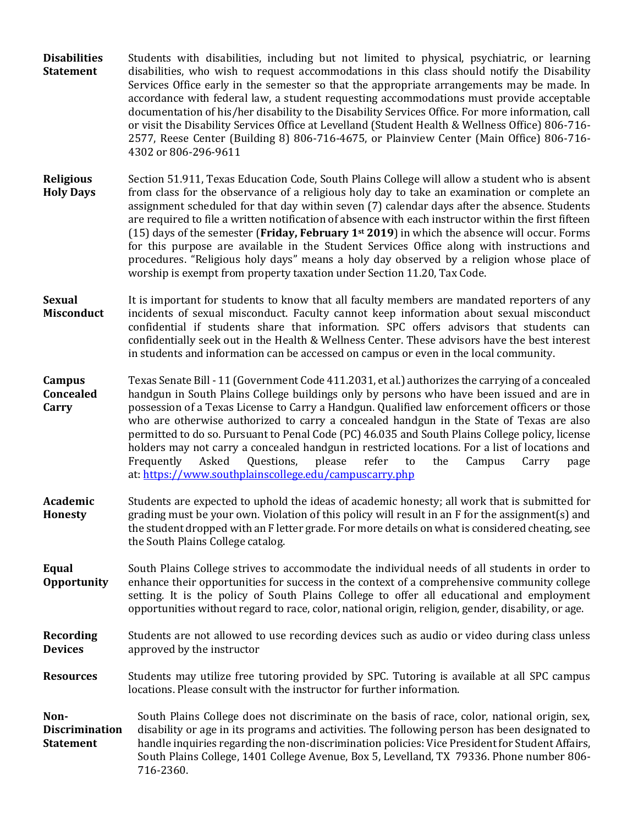- **Disabilities Statement** Students with disabilities, including but not limited to physical, psychiatric, or learning disabilities, who wish to request accommodations in this class should notify the Disability Services Office early in the semester so that the appropriate arrangements may be made. In accordance with federal law, a student requesting accommodations must provide acceptable documentation of his/her disability to the Disability Services Office. For more information, call or visit the Disability Services Office at Levelland (Student Health & Wellness Office) 806-716- 2577, Reese Center (Building 8) 806-716-4675, or Plainview Center (Main Office) 806-716- 4302 or 806-296-9611
- **Religious Holy Days** Section 51.911, Texas Education Code, South Plains College will allow a student who is absent from class for the observance of a religious holy day to take an examination or complete an assignment scheduled for that day within seven (7) calendar days after the absence. Students are required to file a written notification of absence with each instructor within the first fifteen (15) days of the semester (**Friday, February 1st 2019**) in which the absence will occur. Forms for this purpose are available in the Student Services Office along with instructions and procedures. "Religious holy days" means a holy day observed by a religion whose place of worship is exempt from property taxation under Section 11.20, Tax Code.
- **Sexual Misconduct** It is important for students to know that all faculty members are mandated reporters of any incidents of sexual misconduct. Faculty cannot keep information about sexual misconduct confidential if students share that information. SPC offers advisors that students can confidentially seek out in the Health & Wellness Center. These advisors have the best interest in students and information can be accessed on campus or even in the local community.
- **Campus Concealed Carry** Texas Senate Bill - 11 (Government Code 411.2031, et al.) authorizes the carrying of a concealed handgun in South Plains College buildings only by persons who have been issued and are in possession of a Texas License to Carry a Handgun. Qualified law enforcement officers or those who are otherwise authorized to carry a concealed handgun in the State of Texas are also permitted to do so. Pursuant to Penal Code (PC) 46.035 and South Plains College policy, license holders may not carry a concealed handgun in restricted locations. For a list of locations and Frequently Asked Questions, please refer to the Campus Carry page at: [https://www.southplainscollege.edu/campuscarry.php](http://www.southplainscollege.edu/campuscarry.php)
- **Academic Honesty** Students are expected to uphold the ideas of academic honesty; all work that is submitted for grading must be your own. Violation of this policy will result in an F for the assignment(s) and the student dropped with an F letter grade. For more details on what is considered cheating, see the South Plains College catalog.
- **Equal Opportunity** South Plains College strives to accommodate the individual needs of all students in order to enhance their opportunities for success in the context of a comprehensive community college setting. It is the policy of South Plains College to offer all educational and employment opportunities without regard to race, color, national origin, religion, gender, disability, or age.
- **Recording Devices** Students are not allowed to use recording devices such as audio or video during class unless approved by the instructor
- **Resources** Students may utilize free tutoring provided by SPC. Tutoring is available at all SPC campus locations. Please consult with the instructor for further information.

**Non-Discrimination Statement** South Plains College does not discriminate on the basis of race, color, national origin, sex, disability or age in its programs and activities. The following person has been designated to handle inquiries regarding the non-discrimination policies: Vice President for Student Affairs, South Plains College, 1401 College Avenue, Box 5, Levelland, TX 79336. Phone number 806- 716-2360.